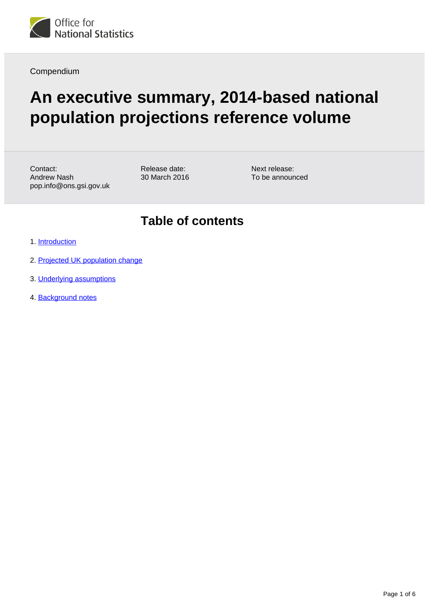

Compendium

# **An executive summary, 2014-based national population projections reference volume**

Contact: Andrew Nash pop.info@ons.gsi.gov.uk Release date: 30 March 2016 Next release: To be announced

#### **Table of contents**

- 1. [Introduction](#page-1-0)
- 2. [Projected UK population change](#page-1-1)
- 3. [Underlying assumptions](#page-4-0)
- 4. Background notes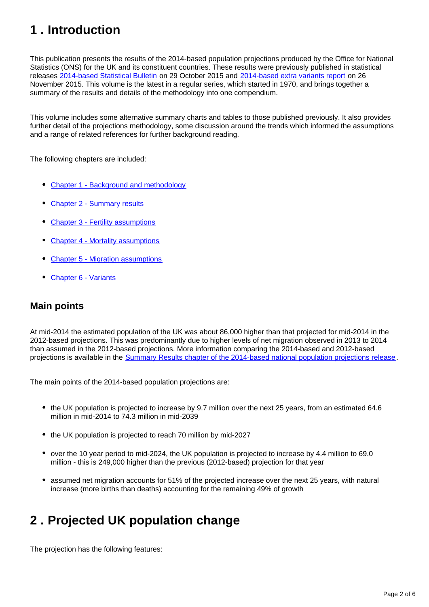## <span id="page-1-0"></span>**1 . Introduction**

This publication presents the results of the 2014-based population projections produced by the Office for National Statistics (ONS) for the UK and its constituent countries. These results were previously published in statistical releases [2014-based Statistical Bulletin](http://www.ons.gov.uk/peoplepopulationandcommunity/populationandmigration/populationprojections/bulletins/nationalpopulationprojections/2015-10-29) on 29 October 2015 and [2014-based extra variants report](http://www.ons.gov.uk/peoplepopulationandcommunity/populationandmigration/populationprojections/articles/nationalpopulationprojections/2014basedextravariantsreport) on 26 November 2015. This volume is the latest in a regular series, which started in 1970, and brings together a summary of the results and details of the methodology into one compendium.

This volume includes some alternative summary charts and tables to those published previously. It also provides further detail of the projections methodology, some discussion around the trends which informed the assumptions and a range of related references for further background reading.

The following chapters are included:

- [Chapter 1 Background and methodology](https://www.ons.gov.uk/peoplepopulationandcommunity/populationandmigration/populationprojections/compendium/nationalpopulationprojections/2014basedreferencevolumeseriespp2/chapter1backgroundandmethodology2014basednationalpopulationprojectionsreferencevolume)
- [Chapter 2 Summary results](https://www.ons.gov.uk/peoplepopulationandcommunity/populationandmigration/populationprojections/compendium/nationalpopulationprojections/2014basedreferencevolumeseriespp2/chapter2results2014basednationalpopulationprojectionsreferencevolume)
- [Chapter 3 Fertility assumptions](https://www.ons.gov.uk/peoplepopulationandcommunity/populationandmigration/populationprojections/compendium/nationalpopulationprojections/2014basedreferencevolumeseriespp2/chapter3fertility2014basednationalpopulationprojectionsreferencevolume)
- [Chapter 4 Mortality assumptions](https://www.ons.gov.uk/peoplepopulationandcommunity/populationandmigration/populationprojections/compendium/nationalpopulationprojections/2014basedreferencevolumeseriespp2/chapter4mortality2014basednationalpopulationprojectionsreferencevolume)
- [Chapter 5 Migration assumptions](https://www.ons.gov.uk/peoplepopulationandcommunity/populationandmigration/populationprojections/compendium/nationalpopulationprojections/2014basedreferencevolumeseriespp2/chapter5migration2014basednationalpopulationprojectionsreferencevolume)
- [Chapter 6 Variants](https://www.ons.gov.uk/peoplepopulationandcommunity/populationandmigration/populationprojections/compendium/nationalpopulationprojections/2014basedreferencevolumeseriespp2/chapter6variants2014basednationalpopulationprojectionsreferencevolume)

#### **Main points**

At mid-2014 the estimated population of the UK was about 86,000 higher than that projected for mid-2014 in the 2012-based projections. This was predominantly due to higher levels of net migration observed in 2013 to 2014 than assumed in the 2012-based projections. More information comparing the 2014-based and 2012-based projections is available in the [Summary Results chapter of the 2014-based national population projections release](http://www.ons.gov.uk/peoplepopulationandcommunity/populationandmigration/populationprojections/compendium/nationalpopulationprojections/2015-10-29/summaryresults).

The main points of the 2014-based population projections are:

- the UK population is projected to increase by 9.7 million over the next 25 years, from an estimated 64.6 million in mid-2014 to 74.3 million in mid-2039
- the UK population is projected to reach 70 million by mid-2027
- over the 10 year period to mid-2024, the UK population is projected to increase by 4.4 million to 69.0 million - this is 249,000 higher than the previous (2012-based) projection for that year
- assumed net migration accounts for 51% of the projected increase over the next 25 years, with natural increase (more births than deaths) accounting for the remaining 49% of growth

### <span id="page-1-1"></span>**2 . Projected UK population change**

The projection has the following features: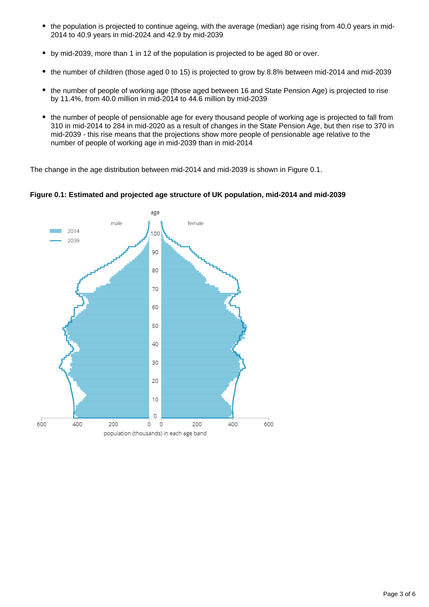- $\bullet$ the population is projected to continue ageing, with the average (median) age rising from 40.0 years in mid-2014 to 40.9 years in mid-2024 and 42.9 by mid-2039
- $\bullet$ by mid-2039, more than 1 in 12 of the population is projected to be aged 80 or over.
- the number of children (those aged 0 to 15) is projected to grow by 8.8% between mid-2014 and mid-2039  $\bullet$
- the number of people of working age (those aged between 16 and State Pension Age) is projected to rise by 11.4%, from 40.0 million in mid-2014 to 44.6 million by mid-2039
- the number of people of pensionable age for every thousand people of working age is projected to fall from 310 in mid-2014 to 284 in mid-2020 as a result of changes in the State Pension Age, but then rise to 370 in mid-2039 - this rise means that the projections show more people of pensionable age relative to the number of people of working age in mid-2039 than in mid-2014

The change in the age distribution between mid-2014 and mid-2039 is shown in Figure 0.1.



**Figure 0.1: Estimated and projected age structure of UK population, mid-2014 and mid-2039**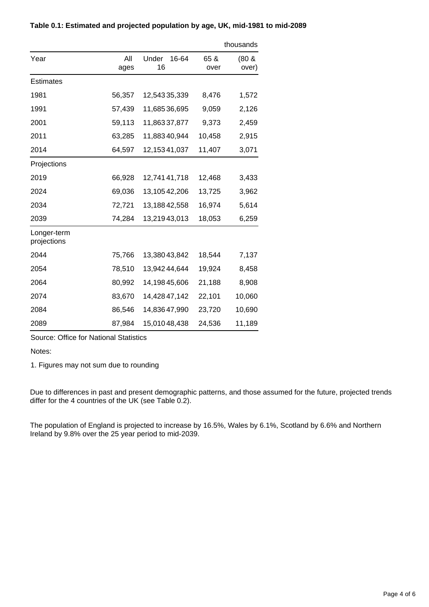|                            |             |                      | thousands    |                   |
|----------------------------|-------------|----------------------|--------------|-------------------|
| Year                       | All<br>ages | Under<br>16-64<br>16 | 65 &<br>over | $(80 \&$<br>over) |
| Estimates                  |             |                      |              |                   |
| 1981                       | 56,357      | 12,54335,339         | 8,476        | 1,572             |
| 1991                       | 57,439      | 11,68536,695         | 9,059        | 2,126             |
| 2001                       | 59,113      | 11,86337,877         | 9,373        | 2,459             |
| 2011                       | 63,285      | 11,88340,944         | 10,458       | 2,915             |
| 2014                       | 64,597      | 12, 153 41, 037      | 11,407       | 3,071             |
| Projections                |             |                      |              |                   |
| 2019                       | 66,928      | 12,74141,718         | 12,468       | 3,433             |
| 2024                       | 69,036      | 13,10542,206         | 13,725       | 3,962             |
| 2034                       | 72,721      | 13,18842,558         | 16,974       | 5,614             |
| 2039                       | 74,284      | 13,21943,013         | 18,053       | 6,259             |
| Longer-term<br>projections |             |                      |              |                   |
| 2044                       | 75,766      | 13,38043,842         | 18,544       | 7,137             |
| 2054                       | 78,510      | 13,94244,644         | 19,924       | 8,458             |
| 2064                       | 80,992      | 14,19845,606         | 21,188       | 8,908             |
| 2074                       | 83,670      | 14,42847,142         | 22,101       | 10,060            |
| 2084                       | 86,546      | 14,83647,990         | 23,720       | 10,690            |
| 2089                       | 87,984      | 15,01048,438         | 24,536       | 11,189            |

#### **Table 0.1: Estimated and projected population by age, UK, mid-1981 to mid-2089**

Source: Office for National Statistics

Notes:

1. Figures may not sum due to rounding

Due to differences in past and present demographic patterns, and those assumed for the future, projected trends differ for the 4 countries of the UK (see Table 0.2).

The population of England is projected to increase by 16.5%, Wales by 6.1%, Scotland by 6.6% and Northern Ireland by 9.8% over the 25 year period to mid-2039.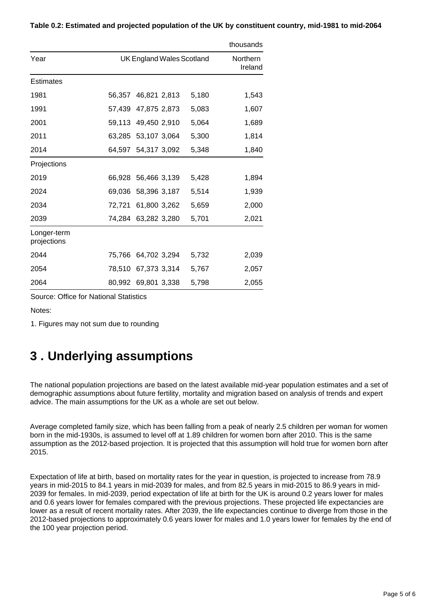|                            |        |                           |       | thousands |
|----------------------------|--------|---------------------------|-------|-----------|
| Year                       |        | UK England Wales Scotland |       |           |
| <b>Estimates</b>           |        |                           |       |           |
| 1981                       | 56,357 | 46,821 2,813              | 5,180 | 1,543     |
| 1991                       | 57,439 | 47,875 2,873              | 5,083 | 1,607     |
| 2001                       |        | 59,113 49,450 2,910       | 5,064 | 1,689     |
| 2011                       | 63,285 | 53,107 3,064              | 5,300 | 1,814     |
| 2014                       |        | 64,597 54,317 3,092       | 5,348 | 1,840     |
| Projections                |        |                           |       |           |
| 2019                       | 66,928 | 56,466 3,139              | 5,428 | 1,894     |
| 2024                       | 69,036 | 58,396 3,187              | 5,514 | 1,939     |
| 2034                       | 72,721 | 61,800 3,262              | 5,659 | 2,000     |
| 2039                       | 74,284 | 63,282 3,280              | 5,701 | 2,021     |
| Longer-term<br>projections |        |                           |       |           |
| 2044                       | 75,766 | 64,702 3,294              | 5,732 | 2,039     |
| 2054                       | 78,510 | 67,373 3,314              | 5,767 | 2,057     |
| 2064                       | 80,992 | 69,801 3,338              | 5,798 | 2,055     |

**Table 0.2: Estimated and projected population of the UK by constituent country, mid-1981 to mid-2064**

Source: Office for National Statistics

Notes:

1. Figures may not sum due to rounding

#### <span id="page-4-0"></span>**3 . Underlying assumptions**

The national population projections are based on the latest available mid-year population estimates and a set of demographic assumptions about future fertility, mortality and migration based on analysis of trends and expert advice. The main assumptions for the UK as a whole are set out below.

Average completed family size, which has been falling from a peak of nearly 2.5 children per woman for women born in the mid-1930s, is assumed to level off at 1.89 children for women born after 2010. This is the same assumption as the 2012-based projection. It is projected that this assumption will hold true for women born after 2015.

Expectation of life at birth, based on mortality rates for the year in question, is projected to increase from 78.9 years in mid-2015 to 84.1 years in mid-2039 for males, and from 82.5 years in mid-2015 to 86.9 years in mid-2039 for females. In mid-2039, period expectation of life at birth for the UK is around 0.2 years lower for males and 0.6 years lower for females compared with the previous projections. These projected life expectancies are lower as a result of recent mortality rates. After 2039, the life expectancies continue to diverge from those in the 2012-based projections to approximately 0.6 years lower for males and 1.0 years lower for females by the end of the 100 year projection period.